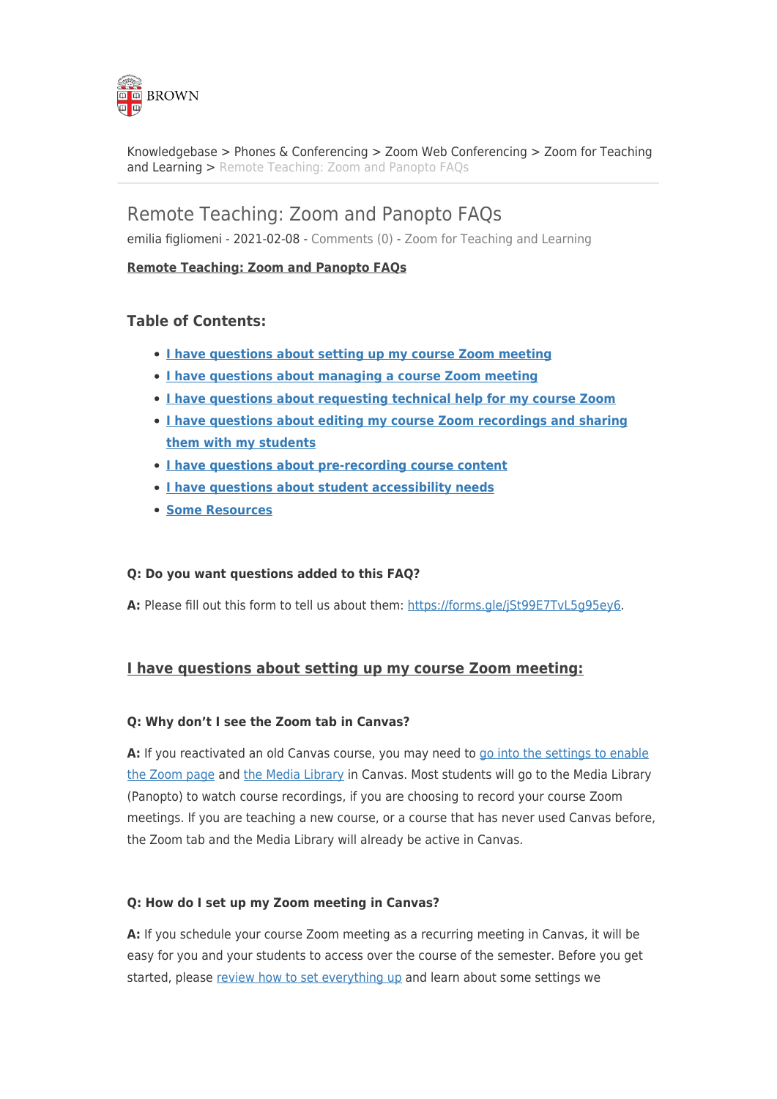

[Knowledgebase](https://ithelp.brown.edu/kb) > [Phones & Conferencing](https://ithelp.brown.edu/kb/phones-conferencing) > [Zoom Web Conferencing](https://ithelp.brown.edu/kb/zoom-web-conferencing) > [Zoom for Teaching](https://ithelp.brown.edu/kb/zoom-for-teaching-and-learning) [and Learning](https://ithelp.brown.edu/kb/zoom-for-teaching-and-learning) > [Remote Teaching: Zoom and Panopto FAQs](https://ithelp.brown.edu/kb/articles/remote-teaching-zoom-and-panopto-faqs)

# Remote Teaching: Zoom and Panopto FAQs

emilia figliomeni - 2021-02-08 - [Comments \(0\)](#page--1-0) - [Zoom for Teaching and Learning](https://ithelp.brown.edu/kb/zoom-for-teaching-and-learning)

## **Remote Teaching: Zoom and Panopto FAQs**

## **Table of Contents:**

- **[I have questions about setting up my course Zoom meeting](https://ithelp.brown.edu/kb/articles/remote-teaching-zoom-and-panopto-faqs#set-up-meeting)**
- **[I have questions about managing a course Zoom meeting](https://ithelp.brown.edu/kb/articles/remote-teaching-zoom-and-panopto-faqs#managing-meeting)**
- **[I have questions about requesting technical help for my course Zoom](https://ithelp.brown.edu/kb/articles/remote-teaching-zoom-and-panopto-faqs#requesting-tech-help)**
- **[I have questions about editing my course Zoom recordings and sharing](https://ithelp.brown.edu/kb/articles/remote-teaching-zoom-and-panopto-faqs#zoom-recordings) [them with my students](https://ithelp.brown.edu/kb/articles/remote-teaching-zoom-and-panopto-faqs#zoom-recordings)**
- **[I have questions about pre-recording course content](https://ithelp.brown.edu/kb/articles/remote-teaching-zoom-and-panopto-faqs#pre-recording)**
- **[I have questions about student accessibility needs](https://ithelp.brown.edu/kb/articles/remote-teaching-zoom-and-panopto-faqs#student-accessibility)**
- **[Some Resources](https://ithelp.brown.edu/kb/articles/remote-teaching-zoom-and-panopto-faqs#some-resources)**

#### **Q: Do you want questions added to this FAQ?**

**A:** Please fill out this form to tell us about them: [https://forms.gle/jSt99E7TvL5g95ey6.](https://forms.gle/jSt99E7TvL5g95ey6)

## **I have questions about setting up my course Zoom meeting:**

#### **Q: Why don't I see the Zoom tab in Canvas?**

**A:** If you reactivated an old Canvas course, you may need to [go into the settings to enable](https://ithelp.brown.edu/kb/articles/canvas-course-navigation) [the Zoom page](https://ithelp.brown.edu/kb/articles/canvas-course-navigation) and [the Media Library](https://ithelp.brown.edu/kb/articles/add-media-library-to-canvas) in Canvas. Most students will go to the Media Library (Panopto) to watch course recordings, if you are choosing to record your course Zoom meetings. If you are teaching a new course, or a course that has never used Canvas before, the Zoom tab and the Media Library will already be active in Canvas.

#### **Q: How do I set up my Zoom meeting in Canvas?**

**A:** If you schedule your course Zoom meeting as a recurring meeting in Canvas, it will be easy for you and your students to access over the course of the semester. Before you get started, please [review how to set everything up](https://ithelp.brown.edu/kb/articles/using-zoom-for-remote-teaching) and learn about some settings we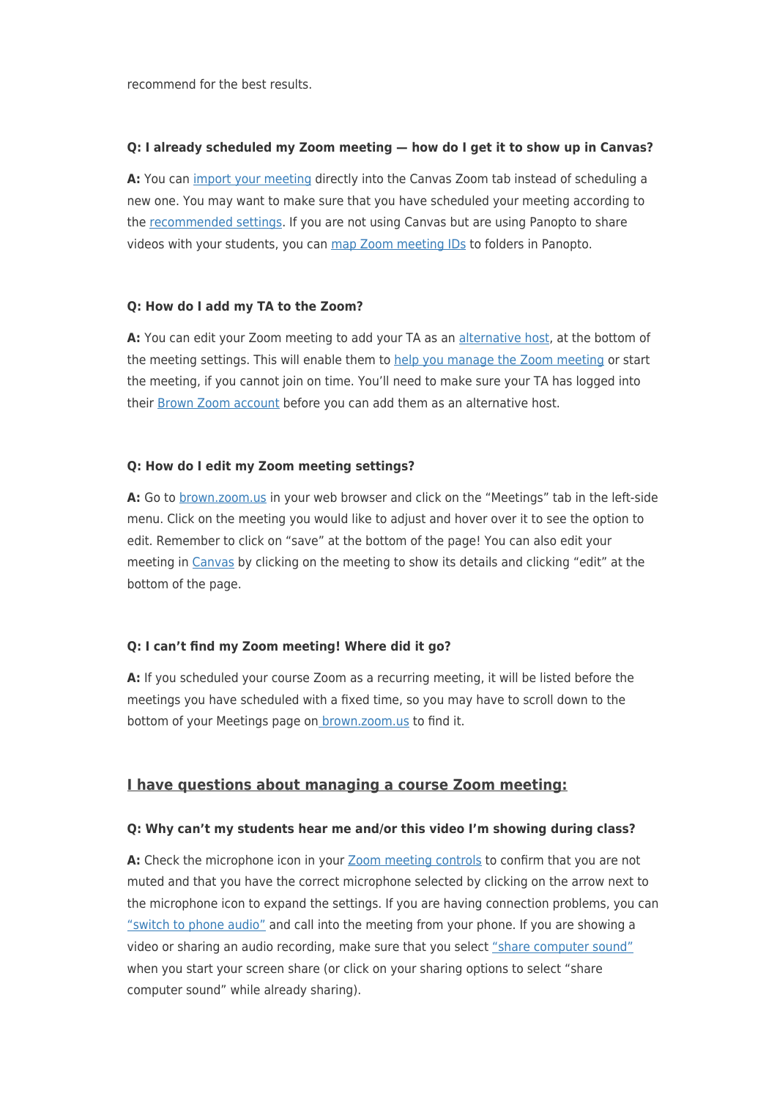recommend for the best results.

### **Q: I already scheduled my Zoom meeting — how do I get it to show up in Canvas?**

**A:** You can [import your meeting](https://ithelp.brown.edu/kb/articles/importing-your-zoom-meeting-into-canvas) directly into the Canvas Zoom tab instead of scheduling a new one. You may want to make sure that you have scheduled your meeting according to the [recommended settings](https://ithelp.brown.edu/kb/articles/using-zoom-for-remote-teaching). If you are not using Canvas but are using Panopto to share videos with your students, you can [map Zoom meeting IDs](https://ithelp.brown.edu/kb/articles/mapping-zoom-cloud-recordings-to-a-panopto-folder) to folders in Panopto.

#### **Q: How do I add my TA to the Zoom?**

**A:** You can edit your Zoom meeting to add your TA as an [alternative host](https://ithelp.brown.edu/kb/articles/zoom-roles-and-their-meeting-controls), at the bottom of the meeting settings. This will enable them to [help you manage the Zoom meeting](https://brown.hosted.panopto.com/Panopto/Pages/Viewer.aspx?id=ff10dfa9-a3ba-4fc6-9cd3-ac2c015361f3) or start the meeting, if you cannot join on time. You'll need to make sure your TA has logged into their [Brown Zoom account](https://ithelp.brown.edu/kb/articles/get-started-with-zoom-web-conferencing) before you can add them as an alternative host.

#### **Q: How do I edit my Zoom meeting settings?**

**A:** Go to [brown.zoom.us](http://brown.zoom.us) in your web browser and click on the "Meetings" tab in the left-side menu. Click on the meeting you would like to adjust and hover over it to see the option to edit. Remember to click on "save" at the bottom of the page! You can also edit your meeting in [Canvas](http://canvas.brown.edu) by clicking on the meeting to show its details and clicking "edit" at the bottom of the page.

#### **Q: I can't find my Zoom meeting! Where did it go?**

**A:** If you scheduled your course Zoom as a recurring meeting, it will be listed before the meetings you have scheduled with a fixed time, so you may have to scroll down to the bottom of your Meetings page o[n brown.zoom.us](http://brown.zoom.us) to find it.

#### **I have questions about managing a course Zoom meeting:**

#### **Q: Why can't my students hear me and/or this video I'm showing during class?**

A: Check the microphone icon in your **[Zoom meeting controls](https://support.zoom.us/hc/en-us/articles/201362603-Host-and-co-host-controls-in-a-meeting)** to confirm that you are not muted and that you have the correct microphone selected by clicking on the arrow next to the microphone icon to expand the settings. If you are having connection problems, you can ["switch to phone audio"](https://support.zoom.us/hc/en-us/articles/201362663-Joining-a-meeting-by-phone) and call into the meeting from your phone. If you are showing a video or sharing an audio recording, make sure that you select ["share computer sound"](https://support.zoom.us/hc/en-us/articles/201362643-Sharing-Computer-Sound-During-Screen-Sharing) when you start your screen share (or click on your sharing options to select "share computer sound" while already sharing).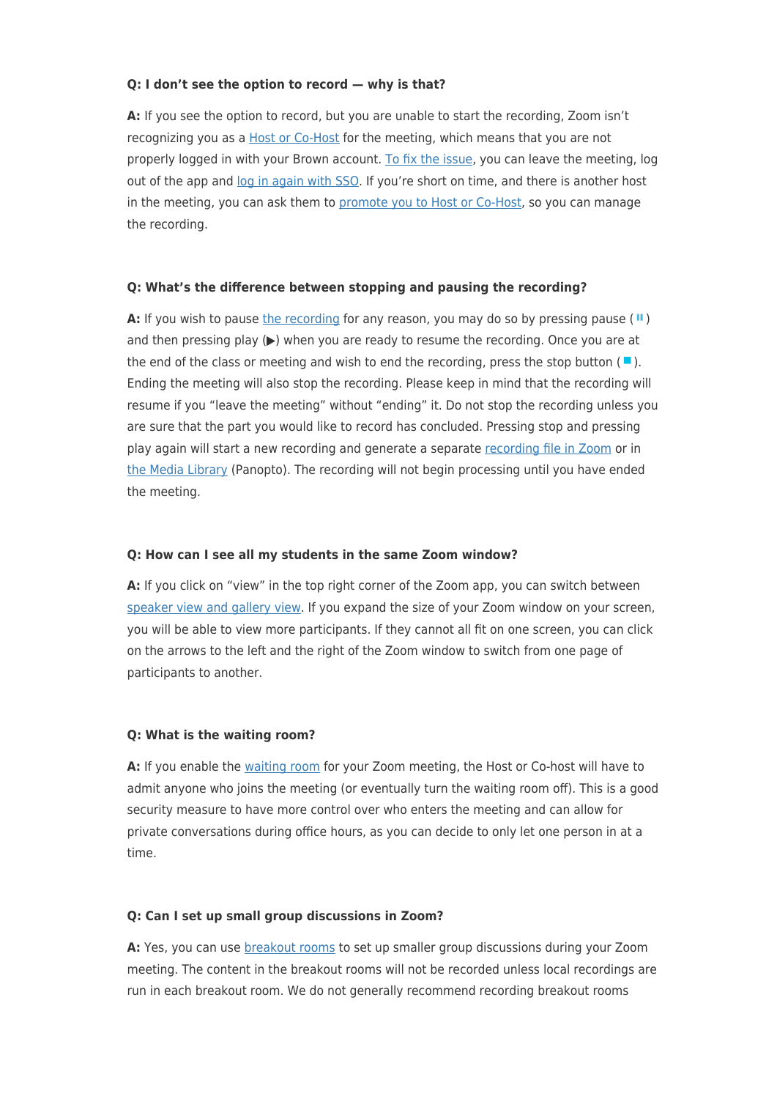#### **Q: I don't see the option to record — why is that?**

**A:** If you see the option to record, but you are unable to start the recording, Zoom isn't recognizing you as a [Host or Co-Host](https://ithelp.brown.edu/kb/articles/zoom-roles-and-their-meeting-controls) for the meeting, which means that you are not properly logged in with your Brown account. [To fix the issue](https://ithelp.brown.edu/kb/articles/troubleshooting-zoom-login-errors-within-canvas), you can leave the meeting, log out of the app and [log in again with SSO](https://ithelp.brown.edu/kb/articles/get-started-with-zoom-web-conferencing). If you're short on time, and there is another host in the meeting, you can ask them to [promote you to Host or Co-Host,](https://support.zoom.us/hc/en-us/articles/206330935-Enabling-and-Adding-a-Co-Host#h_9c3ee7f2-b70c-4061-8dcf-00dd836b2075) so you can manage the recording.

#### **Q: What's the difference between stopping and pausing the recording?**

**A:** If you wish to pause [the recording](https://support.zoom.us/hc/en-us/articles/203741855-Cloud-Recording#h_7420acb5-1897-4061-87b4-5b76e99c03b4) for any reason, you may do so by pressing pause  $(\mathbf{u})$ and then pressing play  $(\triangleright)$  when you are ready to resume the recording. Once you are at the end of the class or meeting and wish to end the recording, press the stop button  $(\blacksquare)$ . Ending the meeting will also stop the recording. Please keep in mind that the recording will resume if you "leave the meeting" without "ending" it. Do not stop the recording unless you are sure that the part you would like to record has concluded. Pressing stop and pressing play again will start a new recording and generate a separate [recording file in Zoom](https://support.zoom.us/hc/en-us/articles/205347605) or in [the Media Library](https://ithelp.brown.edu/kb/articles/add-media-library-to-canvas) (Panopto). The recording will not begin processing until you have ended the meeting.

#### **Q: How can I see all my students in the same Zoom window?**

**A:** If you click on "view" in the top right corner of the Zoom app, you can switch between [speaker view and gallery view.](https://support.zoom.us/hc/en-us/articles/201362323-Changing-the-video-layout-Active-Speaker-View-and-Gallery-View-) If you expand the size of your Zoom window on your screen, you will be able to view more participants. If they cannot all fit on one screen, you can click on the arrows to the left and the right of the Zoom window to switch from one page of participants to another.

#### **Q: What is the waiting room?**

**A:** If you enable the [waiting room](https://support.zoom.us/hc/en-us/articles/115000332726-Waiting-Room) for your Zoom meeting, the Host or Co-host will have to admit anyone who joins the meeting (or eventually turn the waiting room off). This is a good security measure to have more control over who enters the meeting and can allow for private conversations during office hours, as you can decide to only let one person in at a time.

#### **Q: Can I set up small group discussions in Zoom?**

A: Yes, you can use **breakout rooms** to set up smaller group discussions during your Zoom meeting. The content in the breakout rooms will not be recorded unless local recordings are run in each breakout room. We do not generally recommend recording breakout rooms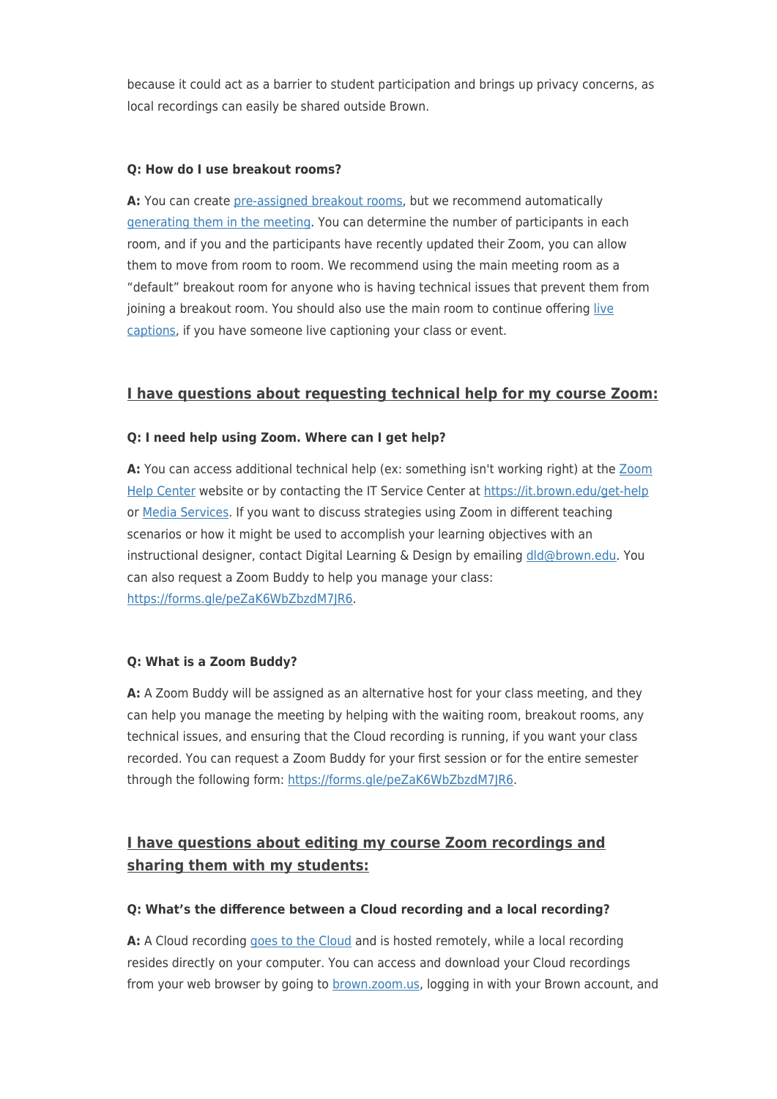because it could act as a barrier to student participation and brings up privacy concerns, as local recordings can easily be shared outside Brown.

### **Q: How do I use breakout rooms?**

**A:** You can create [pre-assigned breakout rooms](https://support.zoom.us/hc/en-us/articles/360032752671-Pre-assigning-participants-to-breakout-rooms), but we recommend automatically [generating them in the meeting](https://support.zoom.us/hc/en-us/articles/206476313-Managing-Breakout-Rooms). You can determine the number of participants in each room, and if you and the participants have recently updated their Zoom, you can allow them to move from room to room. We recommend using the main meeting room as a "default" breakout room for anyone who is having technical issues that prevent them from joining a breakout room. You should also use the main room to continue offering [live](https://www.brown.edu/campus-life/support/accessibility-services/) [captions,](https://www.brown.edu/campus-life/support/accessibility-services/) if you have someone live captioning your class or event.

## **I have questions about requesting technical help for my course Zoom:**

## **Q: I need help using Zoom. Where can I get help?**

**A:** You can access additional technical help (ex: something isn't working right) at the [Zoom](https://support.zoom.us/) [Help Center](https://support.zoom.us/) website or by contacting the IT Service Center at <https://it.brown.edu/get-help> or [Media Services](mailto:media_services@brown.edu). If you want to discuss strategies using Zoom in different teaching scenarios or how it might be used to accomplish your learning objectives with an instructional designer, contact Digital Learning & Design by emailing [dld@brown.edu](mailto:dld@brown.edu). You can also request a Zoom Buddy to help you manage your class: <https://forms.gle/peZaK6WbZbzdM7JR6>.

## **Q: What is a Zoom Buddy?**

**A:** A Zoom Buddy will be assigned as an alternative host for your class meeting, and they can help you manage the meeting by helping with the waiting room, breakout rooms, any technical issues, and ensuring that the Cloud recording is running, if you want your class recorded. You can request a Zoom Buddy for your first session or for the entire semester through the following form: <https://forms.gle/peZaK6WbZbzdM7JR6>.

# **I have questions about editing my course Zoom recordings and sharing them with my students:**

## **Q: What's the difference between a Cloud recording and a local recording?**

**A:** A Cloud recording [goes to the Cloud](https://support.zoom.us/hc/en-us/articles/205347605) and is hosted remotely, while a local recording resides directly on your computer. You can access and download your Cloud recordings from your web browser by going to **[brown.zoom.us,](http://brown.zoom.us) logging in with your Brown** account, and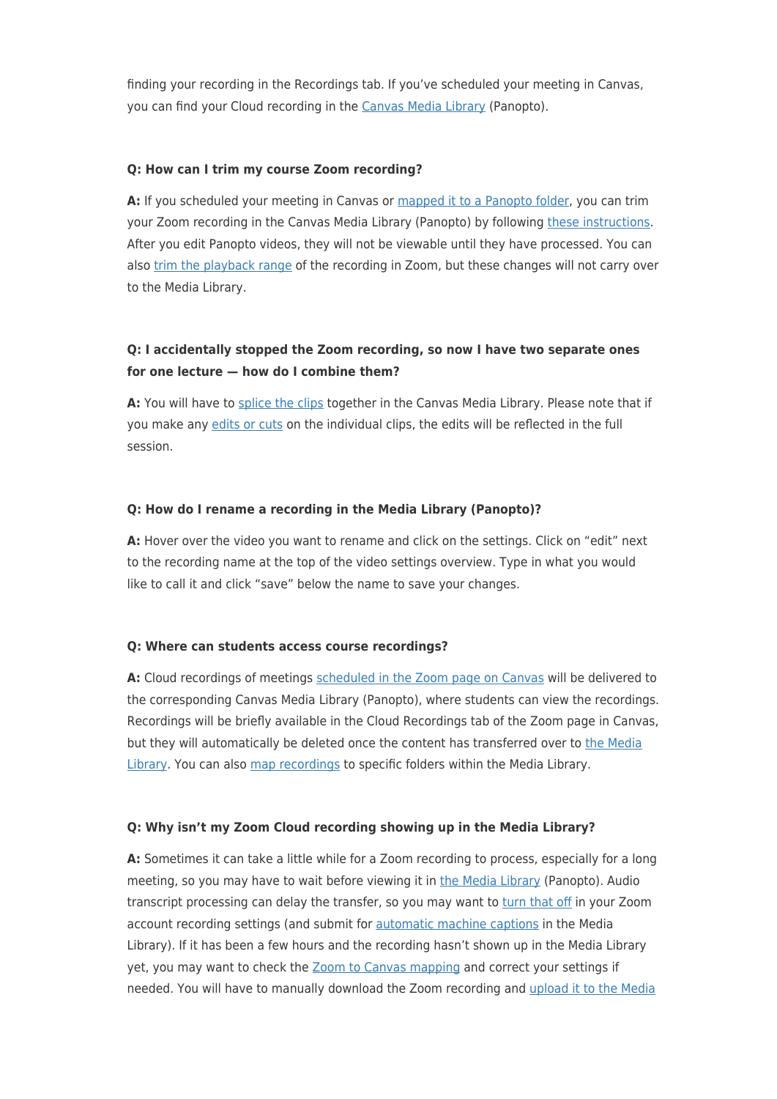finding your recording in the Recordings tab. If you've scheduled your meeting in Canvas, you can find your Cloud recording in the [Canvas Media Library](https://ithelp.brown.edu/kb/articles/add-media-library-to-canvas) (Panopto).

#### **Q: How can I trim my course Zoom recording?**

**A:** If you scheduled your meeting in Canvas or [mapped it to a Panopto folder](https://ithelp.brown.edu/kb/articles/mapping-zoom-cloud-recordings-to-a-panopto-folder), you can trim your Zoom recording in the Canvas Media Library (Panopto) by following [these instructions](https://ithelp.brown.edu/kb/articles/basic-editing-in-panopto). After you edit Panopto videos, they will not be viewable until they have processed. You can also [trim the playback range](https://support.zoom.us/hc/en-us/articles/115003001383-Cloud-Recording-Playback) of the recording in Zoom, but these changes will not carry over to the Media Library.

## **Q: I accidentally stopped the Zoom recording, so now I have two separate ones for one lecture — how do I combine them?**

**A:** You will have to [splice the clips](https://ithelp.brown.edu/kb/articles/add-a-clip-to-splice-multiple-sessions-together-in-panopto) together in the Canvas Media Library. Please note that if you make any [edits or cuts](https://ithelp.brown.edu/kb/articles/basic-editing-in-panopto) on the individual clips, the edits will be reflected in the full session.

#### **Q: How do I rename a recording in the Media Library (Panopto)?**

**A:** Hover over the video you want to rename and click on the settings. Click on "edit" next to the recording name at the top of the video settings overview. Type in what you would like to call it and click "save" below the name to save your changes.

#### **Q: Where can students access course recordings?**

A: Cloud recordings of meetings [scheduled in the Zoom page on Canvas](https://ithelp.brown.edu/kb/articles/using-zoom-for-remote-teaching) will be delivered to the corresponding Canvas Media Library (Panopto), where students can view the recordings. Recordings will be briefly available in the Cloud Recordings tab of the Zoom page in Canvas, but they will automatically be deleted once the content has transferred over to [the Media](https://ithelp.brown.edu/kb/articles/add-media-library-to-canvas) [Library](https://ithelp.brown.edu/kb/articles/add-media-library-to-canvas). You can also [map recordings](https://ithelp.brown.edu/kb/articles/mapping-zoom-cloud-recordings-to-a-panopto-folder) to specific folders within the Media Library.

#### **Q: Why isn't my Zoom Cloud recording showing up in the Media Library?**

**A:** Sometimes it can take a little while for a Zoom recording to process, especially for a long meeting, so you may have to wait before viewing it in [the Media Library](https://ithelp.brown.edu/kb/articles/add-media-library-to-canvas) (Panopto). Audio transcript processing can delay the transfer, so you may want to [turn that off](https://support.zoom.us/hc/en-us/articles/115004794983-Using-audio-transcription-for-cloud-recordings-) in your Zoom account recording settings (and submit for [automatic machine captions](https://ithelp.brown.edu/kb/articles/enable-automatic-captions-in-panopto) in the Media Library). If it has been a few hours and the recording hasn't shown up in the Media Library yet, you may want to check the [Zoom to Canvas mapping](https://ithelp.brown.edu/kb/articles/mapping-zoom-cloud-recordings-to-a-panopto-folder) and correct your settings if needed. You will have to manually download the Zoom recording and [upload it to the Media](https://ithelp.brown.edu/kb/articles/uploading-to-canvas-media-library)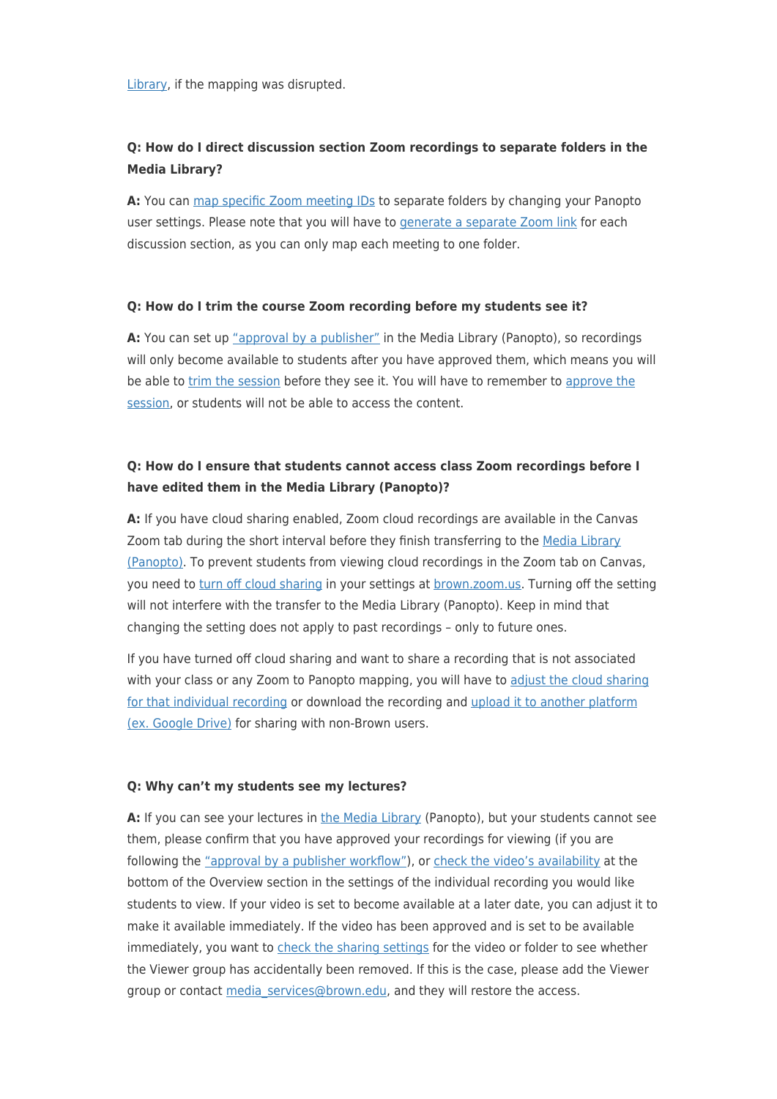[Library](https://ithelp.brown.edu/kb/articles/uploading-to-canvas-media-library), if the mapping was disrupted.

## **Q: How do I direct discussion section Zoom recordings to separate folders in the Media Library?**

**A:** You can [map specific Zoom meeting IDs](https://ithelp.brown.edu/kb/articles/mapping-zoom-cloud-recordings-to-a-panopto-folder) to separate folders by changing your Panopto user settings. Please note that you will have to [generate a separate Zoom link](https://ithelp.brown.edu/kb/articles/using-zoom-for-remote-teaching) for each discussion section, as you can only map each meeting to one folder.

#### **Q: How do I trim the course Zoom recording before my students see it?**

**A:** You can set up ["approval by a publisher"](https://ithelp.brown.edu/kb/articles/setting-availability-in-panopto) in the Media Library (Panopto), so recordings will only become available to students after you have approved them, which means you will be able to [trim the session](https://ithelp.brown.edu/kb/articles/basic-editing-in-panopto) before they see it. You will have to remember to [approve the](https://support.panopto.com/s/article/Publish-Videos-Using-the-Approval-Workflow) [session,](https://support.panopto.com/s/article/Publish-Videos-Using-the-Approval-Workflow) or students will not be able to access the content.

## **Q: How do I ensure that students cannot access class Zoom recordings before I have edited them in the Media Library (Panopto)?**

**A:** If you have cloud sharing enabled, Zoom cloud recordings are available in the Canvas Zoom tab during the short interval before they finish transferring to the [Media Library](https://ithelp.brown.edu/kb/articles/add-media-library-to-canvas) [\(Panopto\)](https://ithelp.brown.edu/kb/articles/add-media-library-to-canvas). To prevent students from viewing cloud recordings in the Zoom tab on Canvas, you need to [turn off cloud sharing](https://ithelp.brown.edu/kb/articles/turning-off-cloud-sharing-for-your-brown-zoom-account) in your settings at [brown.zoom.us](http://brown.zoom.us). Turning off the setting will not interfere with the transfer to the Media Library (Panopto). Keep in mind that changing the setting does not apply to past recordings – only to future ones.

If you have turned off cloud sharing and want to share a recording that is not associated with your class or any Zoom to Panopto mapping, you will have to [adjust the cloud sharing](https://ithelp.brown.edu/kb/articles/turning-on-cloud-sharing-for-an-individual-zoom-recording) [for that individual recording](https://ithelp.brown.edu/kb/articles/turning-on-cloud-sharing-for-an-individual-zoom-recording) or download the recording and [upload it to another platform](https://ithelp.brown.edu/kb/articles/uploading-sharing-your-zoom-recording-in-google-drive) [\(ex. Google Drive\)](https://ithelp.brown.edu/kb/articles/uploading-sharing-your-zoom-recording-in-google-drive) for sharing with non-Brown users.

#### **Q: Why can't my students see my lectures?**

**A:** If you can see your lectures in [the Media Library](https://ithelp.brown.edu/kb/articles/add-media-library-to-canvas) (Panopto), but your students cannot see them, please confirm that you have approved your recordings for viewing (if you are following the ["approval by a publisher workflow"\)](https://support.panopto.com/s/article/Publish-Videos-Using-the-Approval-Workflow), or [check the video's availability](https://ithelp.brown.edu/kb/articles/setting-availability-in-panopto) at the bottom of the Overview section in the settings of the individual recording you would like students to view. If your video is set to become available at a later date, you can adjust it to make it available immediately. If the video has been approved and is set to be available immediately, you want to [check the sharing settings](https://ithelp.brown.edu/kb/articles/how-to-share-content-in-panopto) for the video or folder to see whether the Viewer group has accidentally been removed. If this is the case, please add the Viewer group or contact [media\\_services@brown.edu](mailto:media_services@brown.edu), and they will restore the access.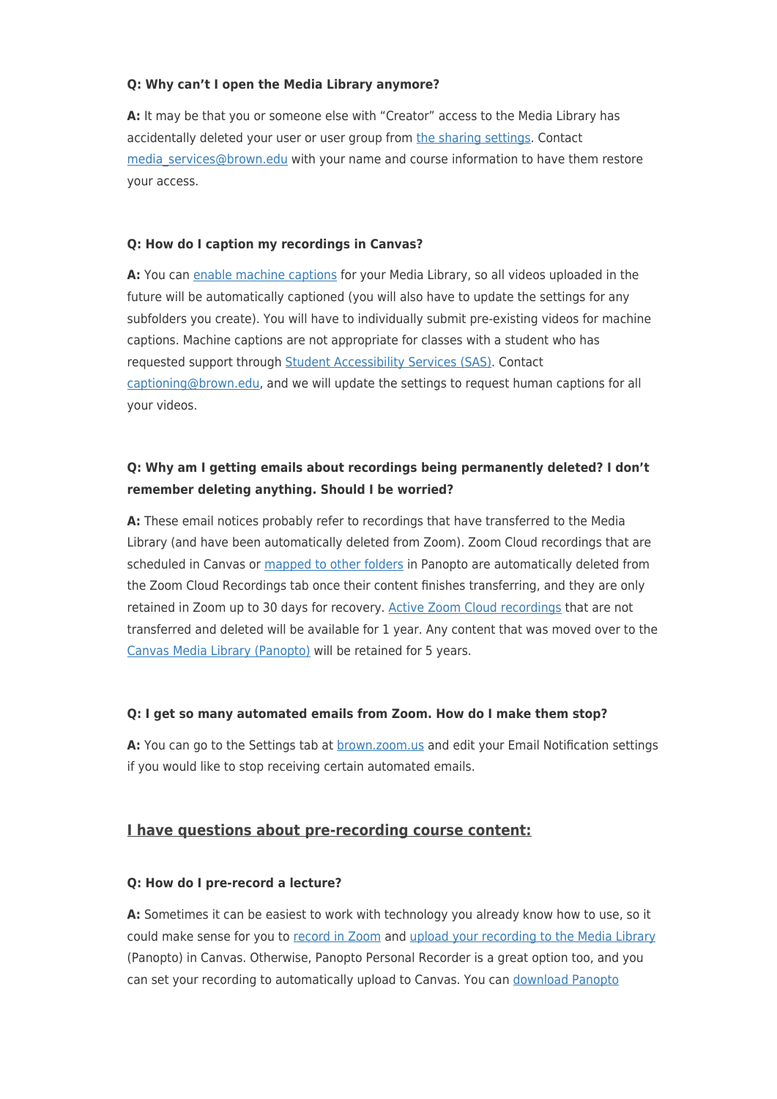### **Q: Why can't I open the Media Library anymore?**

**A:** It may be that you or someone else with "Creator" access to the Media Library has accidentally deleted your user or user group from [the sharing settings.](https://ithelp.brown.edu/kb/articles/how-to-share-content-in-panopto) Contact [media\\_services@brown.edu](mailto:media_services@brown.edu) with your name and course information to have them restore your access.

## **Q: How do I caption my recordings in Canvas?**

**A:** You can [enable machine captions](https://ithelp.brown.edu/kb/articles/enable-automatic-captions-in-panopto) for your Media Library, so all videos uploaded in the future will be automatically captioned (you will also have to update the settings for any subfolders you create). You will have to individually submit pre-existing videos for machine captions. Machine captions are not appropriate for classes with a student who has requested support through [Student Accessibility Services \(SAS\).](https://www.brown.edu/campus-life/support/accessibility-services/) Contact [captioning@brown.edu,](mailto:captioning@brown.edu) and we will update the settings to request human captions for all your videos.

## **Q: Why am I getting emails about recordings being permanently deleted? I don't remember deleting anything. Should I be worried?**

**A:** These email notices probably refer to recordings that have transferred to the Media Library (and have been automatically deleted from Zoom). Zoom Cloud recordings that are scheduled in Canvas or [mapped to other folders](https://ithelp.brown.edu/kb/articles/mapping-zoom-cloud-recordings-to-a-panopto-folder) in Panopto are automatically deleted from the Zoom Cloud Recordings tab once their content finishes transferring, and they are only retained in Zoom up to 30 days for recovery. [Active Zoom Cloud recordings](https://support.zoom.us/hc/en-us/articles/205347605) that are not transferred and deleted will be available for 1 year. Any content that was moved over to the [Canvas Media Library \(Panopto\)](https://ithelp.brown.edu/kb/articles/add-media-library-to-canvas) will be retained for 5 years.

#### **Q: I get so many automated emails from Zoom. How do I make them stop?**

A: You can go to the Settings tab at **brown.zoom.us and edit your Email Notification settings** if you would like to stop receiving certain automated emails.

## **I have questions about pre-recording course content:**

## **Q: How do I pre-record a lecture?**

**A:** Sometimes it can be easiest to work with technology you already know how to use, so it could make sense for you to [record in Zoom](https://support.zoom.us/hc/en-us/articles/205347605) and [upload your recording to the Media Library](https://ithelp.brown.edu/kb/articles/uploading-to-canvas-media-library) (Panopto) in Canvas. Otherwise, Panopto Personal Recorder is a great option too, and you can set your recording to automatically upload to Canvas. You can [download Panopto](https://ithelp.brown.edu/kb/articles/installing-panopto-personal-recorder)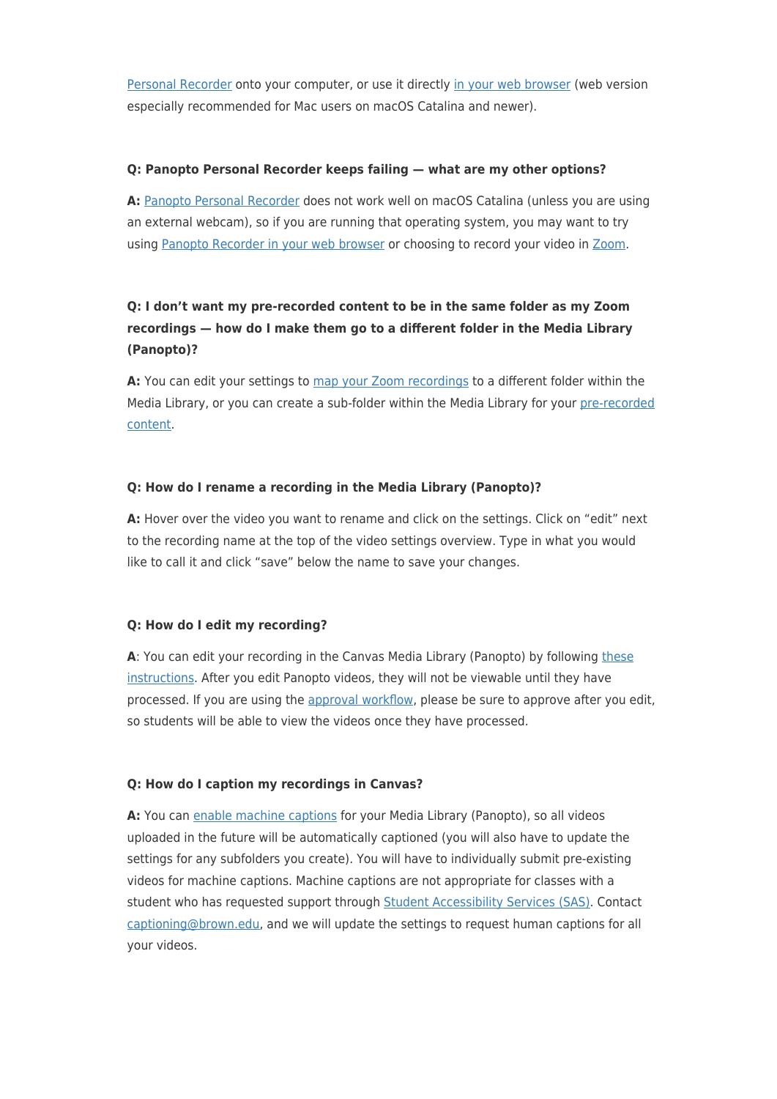[Personal Recorder](https://ithelp.brown.edu/kb/articles/installing-panopto-personal-recorder) onto your computer, or use it directly [in your web browser](https://support.panopto.com/s/article/How-to-Create-a-Video-Using-Panopto-Capture) (web version especially recommended for Mac users on macOS Catalina and newer).

### **Q: Panopto Personal Recorder keeps failing — what are my other options?**

**A:** [Panopto Personal Recorder](https://ithelp.brown.edu/kb/articles/installing-panopto-personal-recorder) does not work well on macOS Catalina (unless you are using an external webcam), so if you are running that operating system, you may want to try using [Panopto Recorder in your web browser](https://support.panopto.com/s/article/How-to-Create-a-Video-Using-Panopto-Capture) or choosing to record your video in [Zoom.](https://support.zoom.us/hc/en-us/articles/205347605)

## **Q: I don't want my pre-recorded content to be in the same folder as my Zoom recordings — how do I make them go to a different folder in the Media Library (Panopto)?**

**A:** You can edit your settings to [map your Zoom recordings](https://ithelp.brown.edu/kb/articles/mapping-zoom-cloud-recordings-to-a-panopto-folder) to a different folder within the Media Library, or you can create a sub-folder within the Media Library for your [pre-recorded](https://ithelp.brown.edu/kb/articles/uploading-to-canvas-media-library) [content](https://ithelp.brown.edu/kb/articles/uploading-to-canvas-media-library).

### **Q: How do I rename a recording in the Media Library (Panopto)?**

**A:** Hover over the video you want to rename and click on the settings. Click on "edit" next to the recording name at the top of the video settings overview. Type in what you would like to call it and click "save" below the name to save your changes.

#### **Q: How do I edit my recording?**

**A**: You can edit your recording in the Canvas Media Library (Panopto) by following [these](https://ithelp.brown.edu/kb/articles/basic-editing-in-panopto) [instructions.](https://ithelp.brown.edu/kb/articles/basic-editing-in-panopto) After you edit Panopto videos, they will not be viewable until they have processed. If you are using the [approval workflow,](https://support.panopto.com/s/article/Publish-Videos-Using-the-Approval-Workflow) please be sure to approve after you edit, so students will be able to view the videos once they have processed.

#### **Q: How do I caption my recordings in Canvas?**

**A:** You can [enable machine captions](https://ithelp.brown.edu/kb/articles/enable-automatic-captions-in-panopto) for your Media Library (Panopto), so all videos uploaded in the future will be automatically captioned (you will also have to update the settings for any subfolders you create). You will have to individually submit pre-existing videos for machine captions. Machine captions are not appropriate for classes with a student who has requested support through **Student Accessibility Services (SAS)**. Contact [captioning@brown.edu,](mailto:captioning@brown.edu) and we will update the settings to request human captions for all your videos.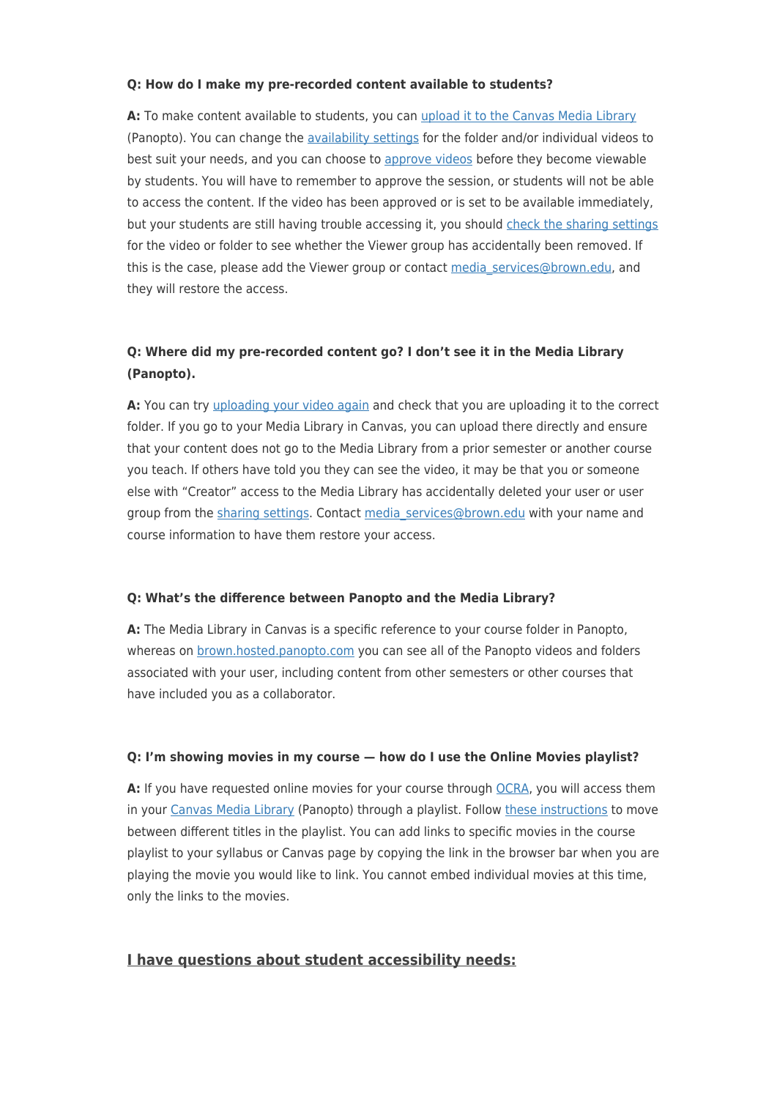#### **Q: How do I make my pre-recorded content available to students?**

**A:** To make content available to students, you can [upload it to the Canvas Media Library](https://ithelp.brown.edu/kb/articles/uploading-to-canvas-media-library) (Panopto). You can change the [availability settings](https://ithelp.brown.edu/kb/articles/setting-availability-in-panopto) for the folder and/or individual videos to best suit your needs, and you can choose to [approve videos](https://support.panopto.com/s/article/Publish-Videos-Using-the-Approval-Workflow) before they become viewable by students. You will have to remember to approve the session, or students will not be able to access the content. If the video has been approved or is set to be available immediately, but your students are still having trouble accessing it, you should [check the sharing settings](https://ithelp.brown.edu/kb/articles/how-to-share-content-in-panopto) for the video or folder to see whether the Viewer group has accidentally been removed. If this is the case, please add the Viewer group or contact media services@brown.edu, and they will restore the access.

## **Q: Where did my pre-recorded content go? I don't see it in the Media Library (Panopto).**

A: You can try [uploading your video again](https://ithelp.brown.edu/kb/articles/uploading-to-canvas-media-library) and check that you are uploading it to the correct folder. If you go to your Media Library in Canvas, you can upload there directly and ensure that your content does not go to the Media Library from a prior semester or another course you teach. If others have told you they can see the video, it may be that you or someone else with "Creator" access to the Media Library has accidentally deleted your user or user group from the [sharing settings.](https://ithelp.brown.edu/kb/articles/how-to-share-content-in-panopto) Contact [media\\_services@brown.edu](mailto:media_services@brown.edu) with your name and course information to have them restore your access.

#### **Q: What's the difference between Panopto and the Media Library?**

**A:** The Media Library in Canvas is a specific reference to your course folder in Panopto, whereas on [brown.hosted.panopto.com](http://brown.hosted.panopto.com) you can see all of the Panopto videos and folders associated with your user, including content from other semesters or other courses that have included you as a collaborator.

#### **Q: I'm showing movies in my course — how do I use the Online Movies playlist?**

**A:** If you have requested online movies for your course through [OCRA](https://library.brown.edu/reserves/ocra_faq.php), you will access them in your [Canvas Media Library](https://ithelp.brown.edu/kb/articles/add-media-library-to-canvas) (Panopto) through a playlist. Follow [these instructions](https://ithelp.brown.edu/kb/articles/using-panopto-playlists-as-a-viewer) to move between different titles in the playlist. You can add links to specific movies in the course playlist to your syllabus or Canvas page by copying the link in the browser bar when you are playing the movie you would like to link. You cannot embed individual movies at this time, only the links to the movies.

## **I have questions about student accessibility needs:**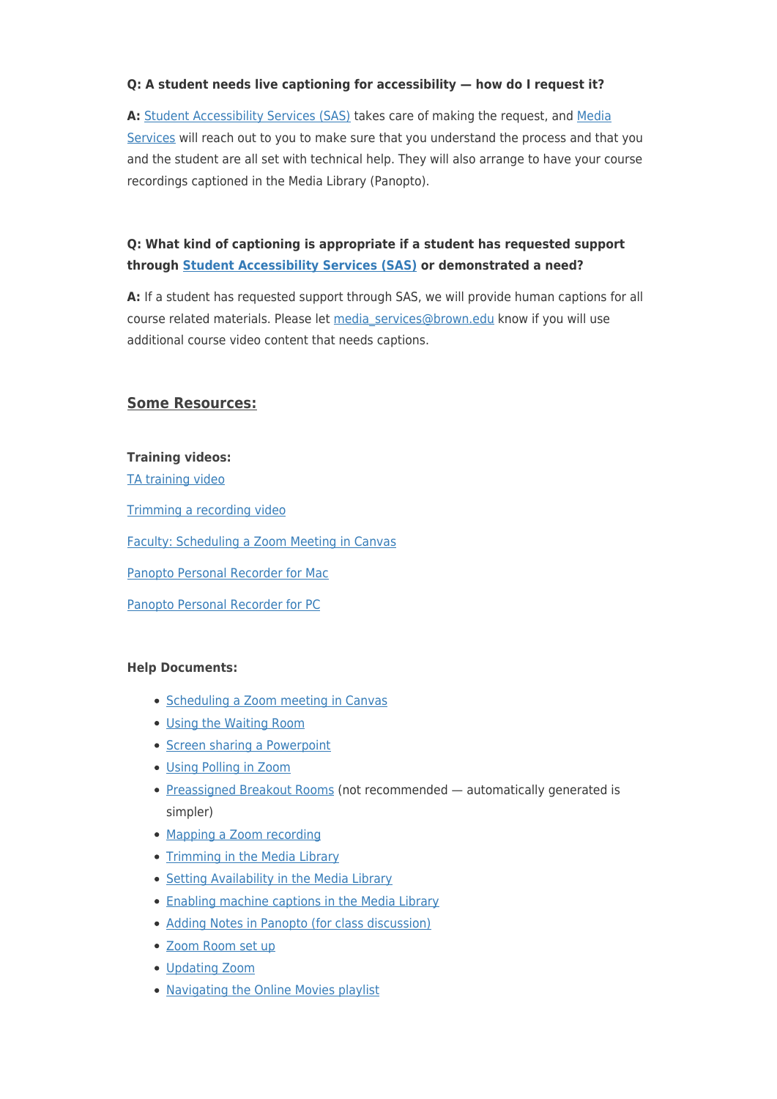## **Q: A student needs live captioning for accessibility — how do I request it?**

**A:** [Student Accessibility Services \(SAS\)](https://www.brown.edu/campus-life/support/accessibility-services/) takes care of making the request, and [Media](mailto:media_services@brown.edu) [Services](mailto:media_services@brown.edu) will reach out to you to make sure that you understand the process and that you and the student are all set with technical help. They will also arrange to have your course recordings captioned in the Media Library (Panopto).

## **Q: What kind of captioning is appropriate if a student has requested support through [Student Accessibility Services \(SAS\)](https://www.brown.edu/campus-life/support/accessibility-services/) or demonstrated a need?**

**A:** If a student has requested support through SAS, we will provide human captions for all course related materials. Please let [media\\_services@brown.edu](mailto:media_services@brown.edu) know if you will use additional course video content that needs captions.

## **Some Resources:**

### **Training videos:**

[TA training video](https://brown.hosted.panopto.com/Panopto/Pages/Viewer.aspx?id=ff10dfa9-a3ba-4fc6-9cd3-ac2c015361f3)

[Trimming a recording video](https://brown.hosted.panopto.com/Panopto/Pages/Viewer.aspx?id=a103a8ac-7fe0-451a-b077-ac3201472e81)

[Faculty: Scheduling a Zoom Meeting in Canvas](https://brown.hosted.panopto.com/Panopto/Pages/Viewer.aspx?id=2405b9d1-ee8c-4661-b9e6-ac2c015f11e4)

[Panopto Personal Recorder for Mac](https://brown.hosted.panopto.com/Panopto/Pages/Viewer.aspx?id=8413bfe8-5573-487f-8346-abb500e7c67e)

[Panopto Personal Recorder for PC](https://brown.hosted.panopto.com/Panopto/Pages/Viewer.aspx?id=24d29f4e-a496-4ac4-a5f2-abb700e0ad8c)

#### **Help Documents:**

- [Scheduling a Zoom meeting in Canvas](https://ithelp.brown.edu/kb/articles/using-zoom-for-office-hours)
- [Using the Waiting Room](https://ithelp.brown.edu/kb/articles/using-the-waiting-room-in-zoom-web-conferencing)
- [Screen sharing a Powerpoint](https://support.zoom.us/hc/en-us/articles/203395347-Screen-sharing-a-PowerPoint-presentation)
- [Using Polling in Zoom](https://ithelp.brown.edu/kb/articles/using-polling-in-zoom)
- [Preassigned Breakout Rooms](https://ithelp.brown.edu/kb/articles/pre-assigning-participants-to-zoom-breakout-rooms) (not recommended automatically generated is simpler)
- [Mapping a Zoom recording](https://ithelp.brown.edu/kb/articles/mapping-zoom-cloud-recordings-to-a-panopto-folder)
- [Trimming in the Media Library](https://ithelp.brown.edu/kb/articles/basic-editing-in-panopto)
- [Setting Availability in the Media Library](https://ithelp.brown.edu/kb/articles/setting-availability-in-panopto)
- [Enabling machine captions in the Media Library](https://ithelp.brown.edu/kb/articles/enable-automatic-captions-in-panopto)
- [Adding Notes in Panopto \(for class discussion\)](https://ithelp.brown.edu/kb/articles/adding-notes-in-panopto-for-class-discussion)
- [Zoom Room set up](https://ithelp.brown.edu/kb/articles/hybrid-teaching-zoom-room)
- [Updating Zoom](https://ithelp.brown.edu/kb/articles/keeping-your-zoom-client-updated)
- [Navigating the Online Movies playlist](https://ithelp.brown.edu/kb/articles/using-panopto-playlists-as-a-viewer)